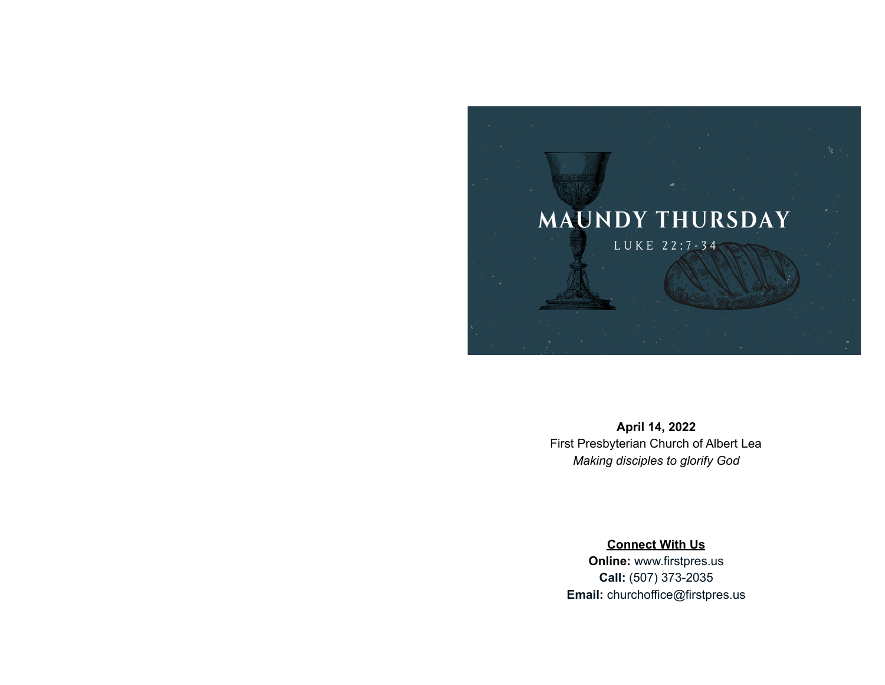

**April 14, 2022** First Presbyterian Church of Albert Lea *Making disciples to glorify God*

**Connect With Us Online:** [www.firstpres.us](http://www.firstpres.us) **Call:** (507) 373-2035 **Email:** [churchoffice@firstpres.us](mailto:churchoffice@firstpres.us)